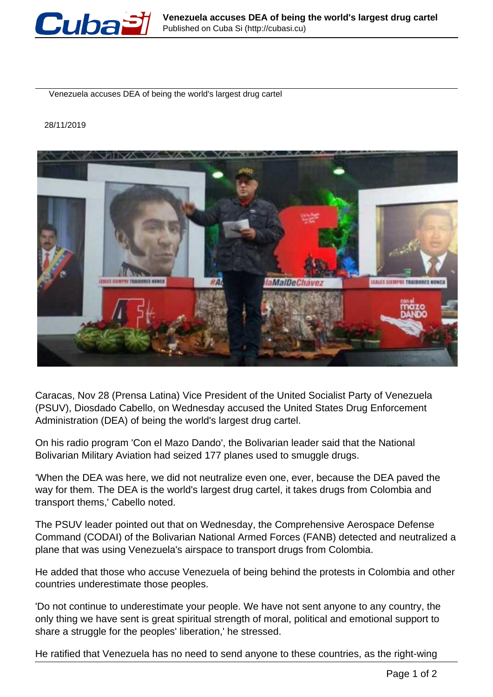

Venezuela accuses DEA of being the world's largest drug cartel

## 28/11/2019



Caracas, Nov 28 (Prensa Latina) Vice President of the United Socialist Party of Venezuela (PSUV), Diosdado Cabello, on Wednesday accused the United States Drug Enforcement Administration (DEA) of being the world's largest drug cartel.

On his radio program 'Con el Mazo Dando', the Bolivarian leader said that the National Bolivarian Military Aviation had seized 177 planes used to smuggle drugs.

'When the DEA was here, we did not neutralize even one, ever, because the DEA paved the way for them. The DEA is the world's largest drug cartel, it takes drugs from Colombia and transport thems,' Cabello noted.

The PSUV leader pointed out that on Wednesday, the Comprehensive Aerospace Defense Command (CODAI) of the Bolivarian National Armed Forces (FANB) detected and neutralized a plane that was using Venezuela's airspace to transport drugs from Colombia.

He added that those who accuse Venezuela of being behind the protests in Colombia and other countries underestimate those peoples.

'Do not continue to underestimate your people. We have not sent anyone to any country, the only thing we have sent is great spiritual strength of moral, political and emotional support to share a struggle for the peoples' liberation,' he stressed.

He ratified that Venezuela has no need to send anyone to these countries, as the right-wing